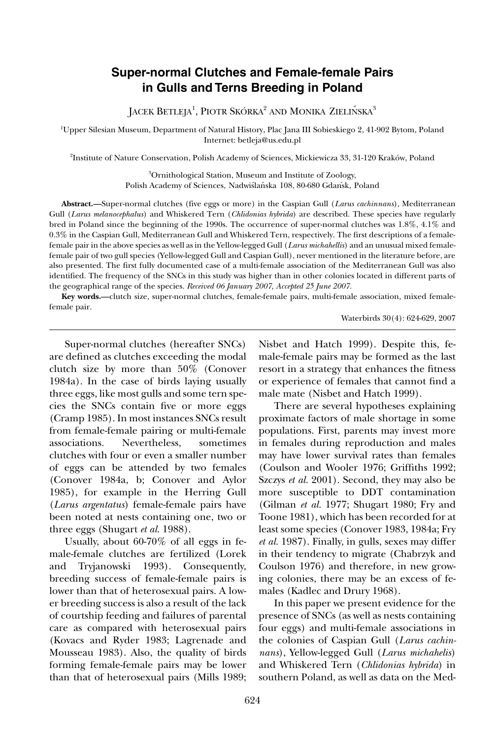# **Super-normal Clutches and Female-female Pairs in Gulls and Terns Breeding in Poland**

JACEK  $\operatorname{BETLEJA}^1$ , PIOTR SKÓRKA $^2$  and Monika Zielińska $^3$ 

1 Upper Silesian Museum, Department of Natural History, Plac Jana III Sobieskiego 2, 41-902 Bytom, Poland Internet: betleja@us.edu.pl

2 Institute of Nature Conservation, Polish Academy of Sciences, Mickiewicza 33, 31-120 Kraków, Poland

3 Ornithological Station, Museum and Institute of Zoology, Polish Academy of Sciences, Nadwiślańska 108, 80-680 Gdansk, Poland

**Abstract.—**Super-normal clutches (five eggs or more) in the Caspian Gull (*Larus cachinnans*), Mediterranean Gull (*Larus melanocephalus*) and Whiskered Tern (*Chlidonias hybrida*) are described. These species have regularly bred in Poland since the beginning of the 1990s. The occurrence of super-normal clutches was 1.8%, 4.1% and 0.3% in the Caspian Gull, Mediterranean Gull and Whiskered Tern, respectively. The first descriptions of a femalefemale pair in the above species as well as in the Yellow-legged Gull (*Larus michahellis*) and an unusual mixed femalefemale pair of two gull species (Yellow-legged Gull and Caspian Gull), never mentioned in the literature before, are also presented. The first fully documented case of a multi-female association of the Mediterranean Gull was also identified. The frequency of the SNCs in this study was higher than in other colonies located in different parts of the geographical range of the species. *Received 06 January 2007, Accepted 25 June 2007.*

**Key words.—**clutch size, super-normal clutches, female-female pairs, multi-female association, mixed femalefemale pair.

Waterbirds 30(4): 624-629, 2007

Super-normal clutches (hereafter SNCs) are defined as clutches exceeding the modal clutch size by more than 50% (Conover 1984a). In the case of birds laying usually three eggs, like most gulls and some tern species the SNCs contain five or more eggs (Cramp 1985). In most instances SNCs result from female-female pairing or multi-female associations. Nevertheless, sometimes clutches with four or even a smaller number of eggs can be attended by two females (Conover 1984a, b; Conover and Aylor 1985), for example in the Herring Gull (*Larus argentatus*) female-female pairs have been noted at nests containing one, two or three eggs (Shugart *et al.* 1988).

Usually, about 60-70% of all eggs in female-female clutches are fertilized (Lorek and Tryjanowski 1993). Consequently, breeding success of female-female pairs is lower than that of heterosexual pairs. A lower breeding success is also a result of the lack of courtship feeding and failures of parental care as compared with heterosexual pairs (Kovacs and Ryder 1983; Lagrenade and Mousseau 1983). Also, the quality of birds forming female-female pairs may be lower than that of heterosexual pairs (Mills 1989;

Nisbet and Hatch 1999). Despite this, female-female pairs may be formed as the last resort in a strategy that enhances the fitness or experience of females that cannot find a male mate (Nisbet and Hatch 1999).

There are several hypotheses explaining proximate factors of male shortage in some populations. First, parents may invest more in females during reproduction and males may have lower survival rates than females (Coulson and Wooler 1976; Griffiths 1992; Szczys *et al.* 2001). Second, they may also be more susceptible to DDT contamination (Gilman *et al.* 1977; Shugart 1980; Fry and Toone 1981), which has been recorded for at least some species (Conover 1983, 1984a; Fry *et al.* 1987). Finally, in gulls, sexes may differ in their tendency to migrate (Chabrzyk and Coulson 1976) and therefore, in new growing colonies, there may be an excess of females (Kadlec and Drury 1968).

In this paper we present evidence for the presence of SNCs (as well as nests containing four eggs) and multi-female associations in the colonies of Caspian Gull (*Larus cachinnans*), Yellow-legged Gull (*Larus michahelis*) and Whiskered Tern (*Chlidonias hybrida*) in southern Poland, as well as data on the Med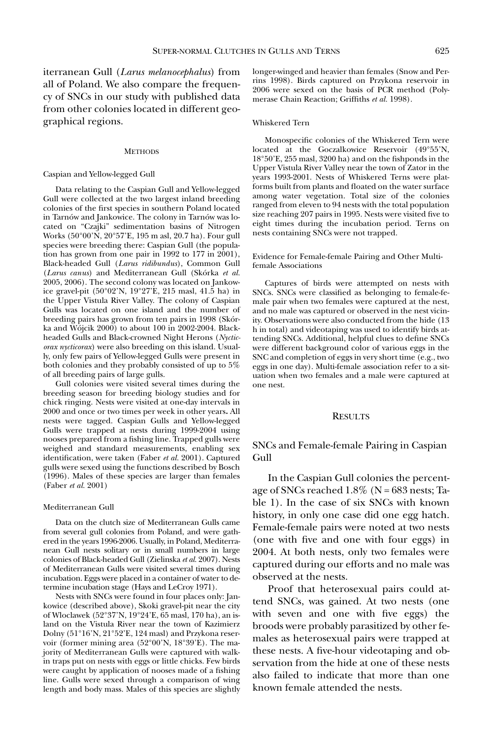iterranean Gull (*Larus melanocephalus*) from all of Poland. We also compare the frequency of SNCs in our study with published data from other colonies located in different geographical regions.

### **METHODS**

### Caspian and Yellow-legged Gull

Data relating to the Caspian Gull and Yellow-legged Gull were collected at the two largest inland breeding colonies of the first species in southern Poland located in Tarnów and Jankowice. The colony in Tarnów was located on "Czajki" sedimentation basins of Nitrogen Works (50°00'N, 20°57'E, 195 m asl, 20.7 ha). Four gull species were breeding there: Caspian Gull (the population has grown from one pair in 1992 to  $177$  in  $2001$ ), Black-headed Gull (*Larus ridibundus*), Common Gull (*Larus canus*) and Mediterranean Gull (Skórka *et al.* 2005, 2006). The second colony was located on Jankowice gravel-pit (50°02'N, 19°27'E, 215 masl, 41.5 ha) in the Upper Vistula River Valley. The colony of Caspian Gulls was located on one island and the number of breeding pairs has grown from ten pairs in 1998 (Skórka and Wójcik  $2000$ ) to about 100 in 2002-2004. Blackheaded Gulls and Black-crowned Night Herons (*Nycticorax nycticorax*) were also breeding on this island. Usually, only few pairs of Yellow-legged Gulls were present in both colonies and they probably consisted of up to 5% of all breeding pairs of large gulls.

Gull colonies were visited several times during the breeding season for breeding biology studies and for chick ringing. Nests were visited at one-day intervals in 2000 and once or two times per week in other years**.** All nests were tagged. Caspian Gulls and Yellow-legged Gulls were trapped at nests during 1999-2004 using nooses prepared from a fishing line. Trapped gulls were weighed and standard measurements, enabling sex identification, were taken (Faber *et al.* 2001). Captured gulls were sexed using the functions described by Bosch (1996). Males of these species are larger than females (Faber *et al.* 2001)

### Mediterranean Gull

Data on the clutch size of Mediterranean Gulls came from several gull colonies from Poland, and were gathered in the years 1996-2006. Usually, in Poland, Mediterranean Gull nests solitary or in small numbers in large colonies of Black-headed Gull (Zielinska *et al.* 2007). Nests of Mediterranean Gulls were visited several times during incubation. Eggs were placed in a container of water to determine incubation stage (Hays and LeCroy 1971).

Nests with SNCs were found in four places only: Jankowice (described above), Skoki gravel-pit near the city of Wloclawek (52°37'N, 19°24'E, 65 masl, 170 ha), an island on the Vistula River near the town of Kazimierz Dolny (51°16'N, 21°52'E, 124 masl) and Przykona reservoir (former mining area (52°00'N, 18°39'E). The majority of Mediterranean Gulls were captured with walkin traps put on nests with eggs or little chicks. Few birds were caught by application of nooses made of a fishing line. Gulls were sexed through a comparison of wing length and body mass. Males of this species are slightly longer-winged and heavier than females (Snow and Perrins 1998). Birds captured on Przykona reservoir in 2006 were sexed on the basis of PCR method (Polymerase Chain Reaction; Griffiths *et al.* 1998).

#### Whiskered Tern

Monospecific colonies of the Whiskered Tern were located at the Goczalkowice Reservoir (49°55'N, 18°50'E, 255 masl, 3200 ha) and on the fishponds in the Upper Vistula River Valley near the town of Zator in the years 1993-2001. Nests of Whiskered Terns were platforms built from plants and floated on the water surface among water vegetation. Total size of the colonies ranged from eleven to 94 nests with the total population size reaching 207 pairs in 1995. Nests were visited five to eight times during the incubation period. Terns on nests containing SNCs were not trapped.

Evidence for Female-female Pairing and Other Multifemale Associations

Captures of birds were attempted on nests with SNCs. SNCs were classified as belonging to female-female pair when two females were captured at the nest, and no male was captured or observed in the nest vicinity. Observations were also conducted from the hide (13 h in total) and videotaping was used to identify birds attending SNCs. Additional, helpful clues to define SNCs were different background color of various eggs in the SNC and completion of eggs in very short time (e.g., two eggs in one day). Multi-female association refer to a situation when two females and a male were captured at one nest.

### RESULTS

SNCs and Female-female Pairing in Caspian Gull

In the Caspian Gull colonies the percentage of SNCs reached  $1.8\%$  (N =  $683$  nests; Table 1). In the case of six SNCs with known history, in only one case did one egg hatch. Female-female pairs were noted at two nests (one with five and one with four eggs) in 2004. At both nests, only two females were captured during our efforts and no male was observed at the nests.

Proof that heterosexual pairs could attend SNCs, was gained. At two nests (one with seven and one with five eggs) the broods were probably parasitized by other females as heterosexual pairs were trapped at these nests. A five-hour videotaping and observation from the hide at one of these nests also failed to indicate that more than one known female attended the nests.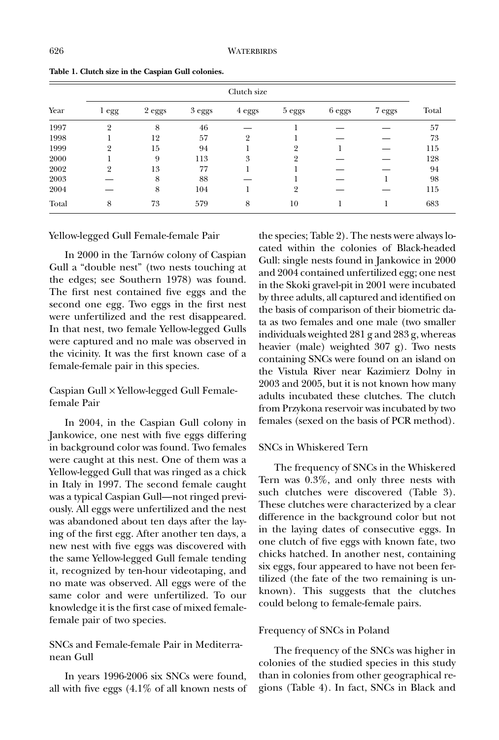|       | Clutch size    |        |        |                |                |        |        |       |  |
|-------|----------------|--------|--------|----------------|----------------|--------|--------|-------|--|
| Year  | l egg          | 2 eggs | 3 eggs | 4 eggs         | 5 eggs         | 6 eggs | 7 eggs | Total |  |
| 1997  | $\overline{2}$ | 8      | 46     |                |                |        |        | 57    |  |
| 1998  |                | 12     | 57     | $\overline{2}$ |                |        |        | 73    |  |
| 1999  | 9              | 15     | 94     |                | 9              |        |        | 115   |  |
| 2000  |                | 9      | 113    | 3              | 9              |        |        | 128   |  |
| 2002  | 9              | 13     | 77     |                |                |        |        | 94    |  |
| 2003  |                | 8      | 88     |                |                |        |        | 98    |  |
| 2004  |                | 8      | 104    |                | $\overline{2}$ |        |        | 115   |  |
| Total | 8              | 73     | 579    | 8              | 10             |        |        | 683   |  |

**Table 1. Clutch size in the Caspian Gull colonies.**

## Yellow-legged Gull Female-female Pair

In 2000 in the Tarnów colony of Caspian Gull a "double nest" (two nests touching at the edges; see Southern 1978) was found. The first nest contained five eggs and the second one egg. Two eggs in the first nest were unfertilized and the rest disappeared. In that nest, two female Yellow-legged Gulls were captured and no male was observed in the vicinity. It was the first known case of a female-female pair in this species.

# Caspian Gull × Yellow-legged Gull Femalefemale Pair

In 2004, in the Caspian Gull colony in Jankowice, one nest with five eggs differing in background color was found. Two females were caught at this nest. One of them was a Yellow-legged Gull that was ringed as a chick in Italy in 1997. The second female caught was a typical Caspian Gull—not ringed previously. All eggs were unfertilized and the nest was abandoned about ten days after the laying of the first egg. After another ten days, a new nest with five eggs was discovered with the same Yellow-legged Gull female tending it, recognized by ten-hour videotaping, and no mate was observed. All eggs were of the same color and were unfertilized. To our knowledge it is the first case of mixed femalefemale pair of two species.

# SNCs and Female-female Pair in Mediterranean Gull

In years 1996-2006 six SNCs were found, all with five eggs (4.1% of all known nests of

the species; Table 2). The nests were always located within the colonies of Black-headed Gull: single nests found in Jankowice in 2000 and 2004 contained unfertilized egg; one nest in the Skoki gravel-pit in 2001 were incubated by three adults, all captured and identified on the basis of comparison of their biometric data as two females and one male (two smaller individuals weighted 281 g and 283 g, whereas heavier (male) weighted 307 g). Two nests containing SNCs were found on an island on the Vistula River near Kazimierz Dolny in 2003 and 2005, but it is not known how many adults incubated these clutches. The clutch from Przykona reservoir was incubated by two females (sexed on the basis of PCR method).

# SNCs in Whiskered Tern

The frequency of SNCs in the Whiskered Tern was 0.3%, and only three nests with such clutches were discovered (Table 3). These clutches were characterized by a clear difference in the background color but not in the laying dates of consecutive eggs. In one clutch of five eggs with known fate, two chicks hatched. In another nest, containing six eggs, four appeared to have not been fertilized (the fate of the two remaining is unknown). This suggests that the clutches could belong to female-female pairs.

# Frequency of SNCs in Poland

The frequency of the SNCs was higher in colonies of the studied species in this study than in colonies from other geographical regions (Table 4). In fact, SNCs in Black and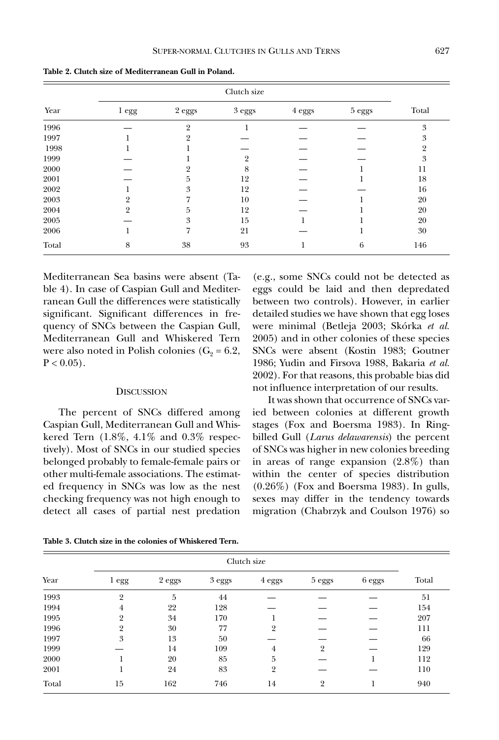**Table 2. Clutch size of Mediterranean Gull in Poland.**

|       |                  | Clutch size |               |               |               |                |  |  |
|-------|------------------|-------------|---------------|---------------|---------------|----------------|--|--|
| Year  | 1 <sub>egg</sub> | $2$ eggs    | $3$ eggs $\,$ | $4$ eggs $\,$ | $5$ eggs $\,$ | Total          |  |  |
| 1996  |                  | 9           |               |               |               | 3              |  |  |
| 1997  |                  |             |               |               |               | 3              |  |  |
| 1998  |                  |             |               |               |               | $\overline{2}$ |  |  |
| 1999  |                  |             |               |               |               | 3              |  |  |
| 2000  |                  |             | 8             |               |               | 11             |  |  |
| 2001  |                  | 5           | 12            |               |               | 18             |  |  |
| 2002  |                  | 3           | 12            |               |               | 16             |  |  |
| 2003  |                  |             | 10            |               |               | 20             |  |  |
| 2004  | 9                | 5           | 12            |               |               | 20             |  |  |
| 2005  |                  | 3           | 15            |               |               | 20             |  |  |
| 2006  |                  | 7           | 21            |               |               | 30             |  |  |
| Total | 8                | 38          | 93            |               | 6             | 146            |  |  |

Mediterranean Sea basins were absent (Table 4). In case of Caspian Gull and Mediterranean Gull the differences were statistically significant. Significant differences in frequency of SNCs between the Caspian Gull, Mediterranean Gull and Whiskered Tern were also noted in Polish colonies ( $G_2 = 6.2$ ,  $P < 0.05$ ).

## **DISCUSSION**

The percent of SNCs differed among Caspian Gull, Mediterranean Gull and Whiskered Tern (1.8%, 4.1% and 0.3% respectively). Most of SNCs in our studied species belonged probably to female-female pairs or other multi-female associations. The estimated frequency in SNCs was low as the nest checking frequency was not high enough to detect all cases of partial nest predation (e.g., some SNCs could not be detected as eggs could be laid and then depredated between two controls). However, in earlier detailed studies we have shown that egg loses were minimal (Betleja 2003; Skórka *et al.* 2005) and in other colonies of these species SNCs were absent (Kostin 1983; Goutner 1986; Yudin and Firsova 1988, Bakaria *et al.* 2002). For that reasons, this probable bias did not influence interpretation of our results.

It was shown that occurrence of SNCs varied between colonies at different growth stages (Fox and Boersma 1983). In Ringbilled Gull (*Larus delawarensis*) the percent of SNCs was higher in new colonies breeding in areas of range expansion (2.8%) than within the center of species distribution (0.26%) (Fox and Boersma 1983). In gulls, sexes may differ in the tendency towards migration (Chabrzyk and Coulson 1976) so

**Table 3. Clutch size in the colonies of Whiskered Tern.**

|       | Clutch size      |        |        |                |                |        |       |
|-------|------------------|--------|--------|----------------|----------------|--------|-------|
| Year  | 1 <sub>egg</sub> | 2 eggs | 3 eggs | 4 eggs         | 5 eggs         | 6 eggs | Total |
| 1993  | 2                | 5      | 44     |                |                |        | 51    |
| 1994  | 4                | 22     | 128    |                |                |        | 154   |
| 1995  | 2                | 34     | 170    |                |                |        | 207   |
| 1996  | $\overline{2}$   | 30     | 77     | $\overline{2}$ |                |        | 111   |
| 1997  | 3                | 13     | 50     |                |                |        | 66    |
| 1999  |                  | 14     | 109    | $\overline{4}$ | $\overline{2}$ |        | 129   |
| 2000  |                  | 20     | 85     | 5              |                |        | 112   |
| 2001  |                  | 24     | 83     | $\overline{2}$ |                |        | 110   |
| Total | 15               | 162    | 746    | 14             | $\overline{2}$ |        | 940   |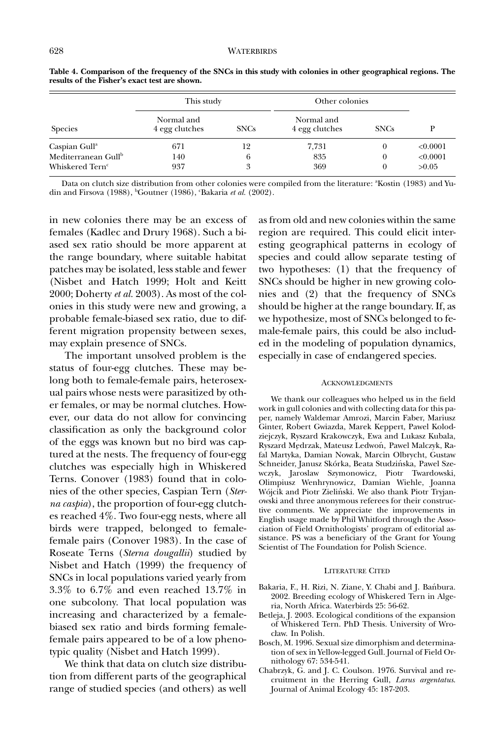|                                 | This study                   |             | Other colonies               |              |          |
|---------------------------------|------------------------------|-------------|------------------------------|--------------|----------|
| <b>Species</b>                  | Normal and<br>4 egg clutches | <b>SNCs</b> | Normal and<br>4 egg clutches | <b>SNCs</b>  |          |
| Caspian Gull <sup>a</sup>       | 671                          | 12          | 7,731                        | $_{0}$       | < 0.0001 |
| Mediterranean Gull <sup>b</sup> | 140                          | 6           | 835                          | $\mathbf{0}$ | < 0.0001 |
| Whiskered Tern <sup>c</sup>     | 937                          | 3           | 369                          | $\theta$     | >0.05    |

**Table 4. Comparison of the frequency of the SNCs in this study with colonies in other geographical regions. The results of the Fisher's exact test are shown.**

Data on clutch size distribution from other colonies were compiled from the literature: "Kostin (1983) and Yudin and Firsova (1988), <sup>b</sup>Goutner (1986), 'Bakaria *et al.* (2002).

in new colonies there may be an excess of females (Kadlec and Drury 1968). Such a biased sex ratio should be more apparent at the range boundary, where suitable habitat patches may be isolated, less stable and fewer (Nisbet and Hatch 1999; Holt and Keitt 2000; Doherty *et al.* 2003). As most of the colonies in this study were new and growing, a probable female-biased sex ratio, due to different migration propensity between sexes, may explain presence of SNCs.

The important unsolved problem is the status of four-egg clutches. These may belong both to female-female pairs, heterosexual pairs whose nests were parasitized by other females, or may be normal clutches. However, our data do not allow for convincing classification as only the background color of the eggs was known but no bird was captured at the nests. The frequency of four-egg clutches was especially high in Whiskered Terns. Conover (1983) found that in colonies of the other species, Caspian Tern (*Sterna caspia*), the proportion of four-egg clutches reached 4%. Two four-egg nests, where all birds were trapped, belonged to femalefemale pairs (Conover 1983). In the case of Roseate Terns (*Sterna dougallii*) studied by Nisbet and Hatch (1999) the frequency of SNCs in local populations varied yearly from 3.3% to 6.7% and even reached 13.7% in one subcolony. That local population was increasing and characterized by a femalebiased sex ratio and birds forming femalefemale pairs appeared to be of a low phenotypic quality (Nisbet and Hatch 1999).

We think that data on clutch size distribution from different parts of the geographical range of studied species (and others) as well as from old and new colonies within the same region are required. This could elicit interesting geographical patterns in ecology of species and could allow separate testing of two hypotheses: (1) that the frequency of SNCs should be higher in new growing colonies and (2) that the frequency of SNCs should be higher at the range boundary. If, as we hypothesize, most of SNCs belonged to female-female pairs, this could be also included in the modeling of population dynamics, especially in case of endangered species.

#### **ACKNOWLEDGMENTS**

We thank our colleagues who helped us in the field work in gull colonies and with collecting data for this paper, namely Waldemar Amrozi, Marcin Faber, Mariusz Ginter, Robert Gwiazda, Marek Keppert, Pawel Kolodziejczyk, Ryszard Krakowczyk, Ewa and Lukasz Kubala, Ryszard Mędrzak, Mateusz Ledwoń, Pawel Malczyk, Rafal Martyka, Damian Nowak, Marcin Olbrycht, Gustaw Schneider, Janusz Skórka, Beata Studzińska, Pawel Szewczyk, Jaroslaw Szymonowicz, Piotr Twardowski, Olimpiusz Wenhrynowicz, Damian Wiehle, Joanna Wójcik and Piotr Zieliński. We also thank Piotr Tryjanowski and three anonymous referees for their constructive comments. We appreciate the improvements in English usage made by Phil Whitford through the Association of Field Ornithologists' program of editorial assistance. PS was a beneficiary of the Grant for Young Scientist of The Foundation for Polish Science.

### LITERATURE CITED

- Bakaria, F., H. Rizi, N. Ziane, Y. Chabi and J. Banbura. 2002. Breeding ecology of Whiskered Tern in Algeria, North Africa. Waterbirds 25: 56-62.
- Betleja, J. 2003. Ecological conditions of the expansion of Whiskered Tern. PhD Thesis. University of Wroclaw. In Polish.
- Bosch, M. 1996. Sexual size dimorphism and determination of sex in Yellow-legged Gull. Journal of Field Ornithology 67: 534-541.
- Chabrzyk, G. and J. C. Coulson. 1976. Survival and recruitment in the Herring Gull, *Larus argentatus*. Journal of Animal Ecology 45: 187-203.